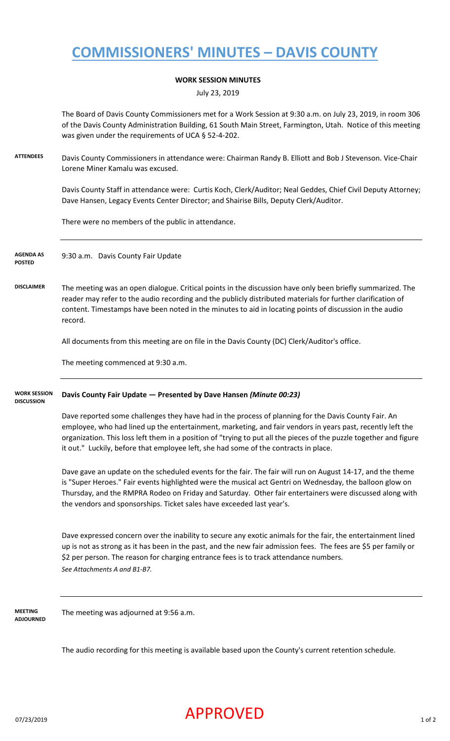# **COMMISSIONERS' MINUTES – DAVIS COUNTY**

### **WORK SESSION MINUTES**

July 23, 2019

The Board of Davis County Commissioners met for a Work Session at 9:30 a.m. on July 23, 2019, in room 306 of the Davis County Administration Building, 61 South Main Street, Farmington, Utah. Notice of this meeting was given under the requirements of UCA § 52-4-202.

**ATTENDEES** Davis County Commissioners in attendance were: Chairman Randy B. Elliott and Bob J Stevenson. Vice-Chair Lorene Miner Kamalu was excused.

> Davis County Staff in attendance were: Curtis Koch, Clerk/Auditor; Neal Geddes, Chief Civil Deputy Attorney; Dave Hansen, Legacy Events Center Director; and Shairise Bills, Deputy Clerk/Auditor.

There were no members of the public in attendance.

9:30 a.m. Davis County Fair Update **AGENDA AS POSTED**

**DISCLAIMER** The meeting was an open dialogue. Critical points in the discussion have only been briefly summarized. The reader may refer to the audio recording and the publicly distributed materials for further clarification of content. Timestamps have been noted in the minutes to aid in locating points of discussion in the audio record.

All documents from this meeting are on file in the Davis County (DC) Clerk/Auditor's office.

The meeting commenced at 9:30 a.m.

#### **Davis County Fair Update — Presented by Dave Hansen** *(Minute 00:23)* **WORK SESSION DISCUSSION**

Dave reported some challenges they have had in the process of planning for the Davis County Fair. An employee, who had lined up the entertainment, marketing, and fair vendors in years past, recently left the organization. This loss left them in a position of "trying to put all the pieces of the puzzle together and figure it out." Luckily, before that employee left, she had some of the contracts in place.

Dave gave an update on the scheduled events for the fair. The fair will run on August 14-17, and the theme is "Super Heroes." Fair events highlighted were the musical act Gentri on Wednesday, the balloon glow on Thursday, and the RMPRA Rodeo on Friday and Saturday. Other fair entertainers were discussed along with the vendors and sponsorships. Ticket sales have exceeded last year's.

Dave expressed concern over the inability to secure any exotic animals for the fair, the entertainment lined up is not as strong as it has been in the past, and the new fair admission fees. The fees are \$5 per family or \$2 per person. The reason for charging entrance fees is to track attendance numbers. *See Attachments A and B1-B7.*

**MEETING ADJOURNED** The meeting was adjourned at 9:56 a.m.

The audio recording for this meeting is available based upon the County's current retention schedule.

### $\mathsf{APPROVED}$  1 of 2